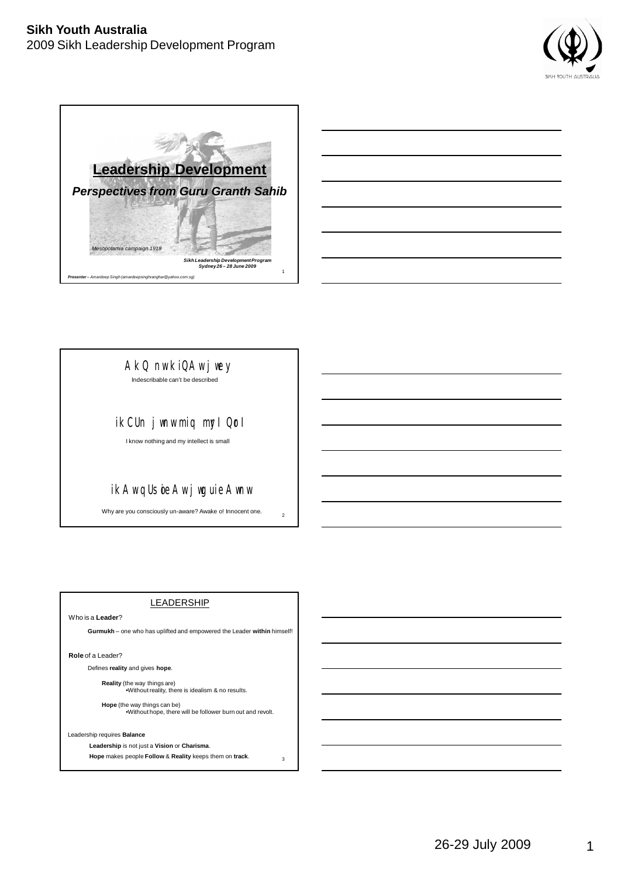



|                                                                                                                |  | _____                              |
|----------------------------------------------------------------------------------------------------------------|--|------------------------------------|
|                                                                                                                |  | $\sim$ $\sim$ $\sim$ $\sim$ $\sim$ |
|                                                                                                                |  | $\overline{\phantom{a}}$           |
| the contract of the contract of the contract of the contract of the contract of                                |  |                                    |
| a sa mga banang sa pag-ang pag-ang pag-ang pag-ang pag-ang pag-ang pag-ang pag-ang pag-ang pag-ang pag-ang pag |  | $\overline{\phantom{a}}$           |
|                                                                                                                |  |                                    |

AkQ nw kiQAw jwey

Indescribable can't be described

# ikCUn jwnw miq myl Qrl

I know nothing and my intellect is small

# ikAw qU soieAw jwgu ieAwnw

Why are you consciously un-aware? Awake o! Innocent one.

2

3

### LEADERSHIP

Who is a **Leader**?

**Gurmukh** – one who has uplifted and empowered the Leader **within** himself!

**Role** of a Leader?

Defines **reality** and gives **hope**.

**Reality** (the way things are) •Without reality, there is idealism & no results.

**Hope** (the way things can be) •Without hope, there will be follower burn out and revolt.

Leadership requires **Balance**

**Leadership** is not just a **Vision** or **Charisma**.

**Hope** makes people **Follow** & **Reality** keeps them on **track**.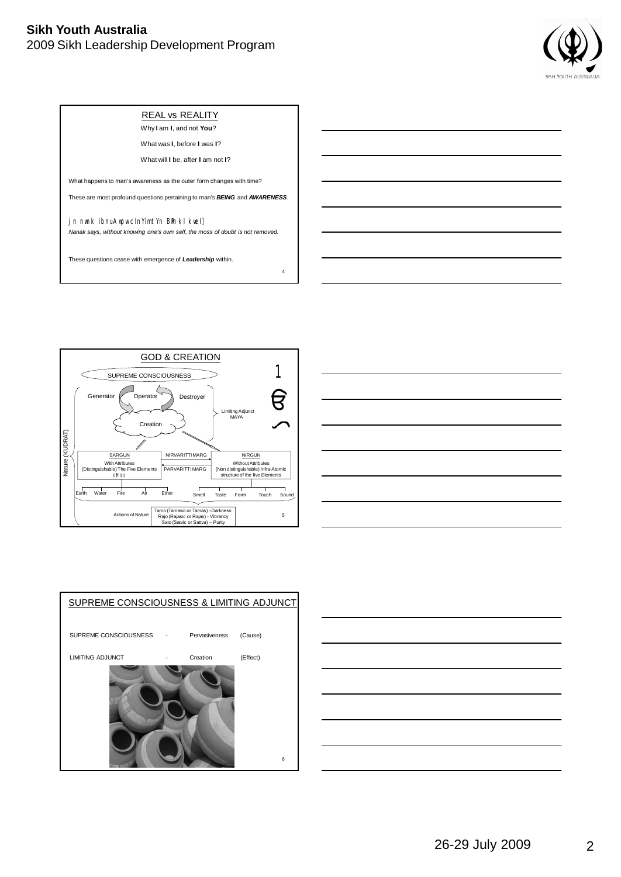

### REAL vs REALITY

Why **I** am **I**, and not **You**? What was **I**, before **I** was **I**?

What will **I** be, after **I** am not **I**?

What happens to man's awareness as the outer form changes with time?

These are most profound questions pertaining to man's *BEING* and *AWARENESS*.

jn nwnk ibnu Awpw cin'imt'n Bin ki kwei] *Nanak says, without knowing one's own self, the moss of doubt is not removed.*

4

These questions cease with emergence of *Leadership* within.







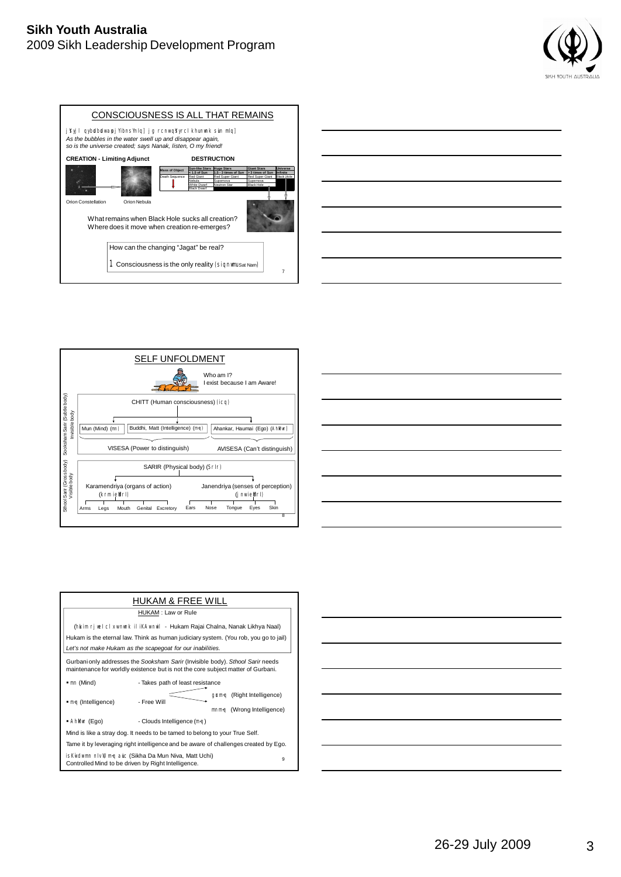











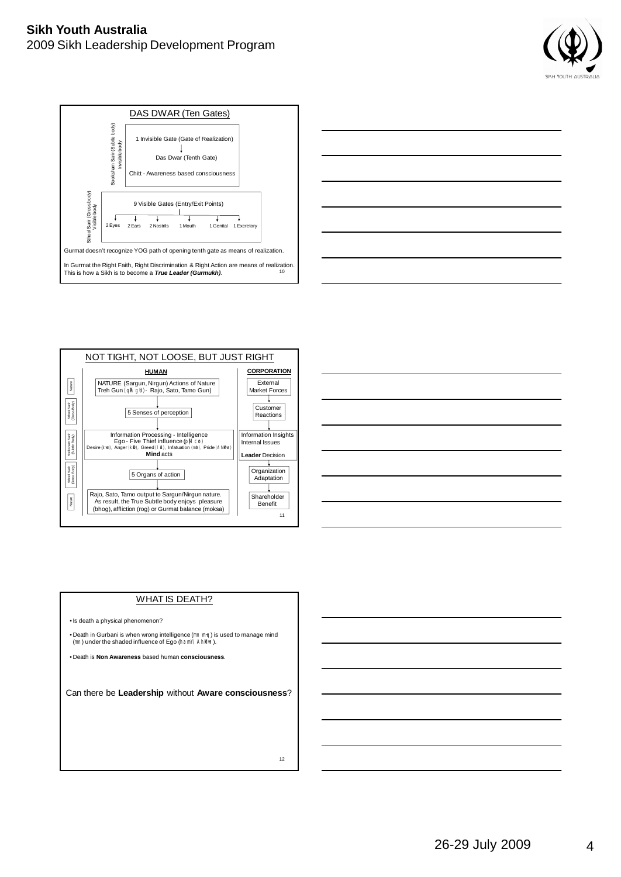









#### WHAT IS DEATH?

•Is death a physical phenomenon?

• Death in Gurbani is when wrong intelligence (mn m~q) is used to manage mind (mn) under the shaded influence of Ego (ham'/ Ahlkur).

• Death is **Non Awareness** based human **consciousness**.

Can there be **Leadership** without **Aware consciousness**?

12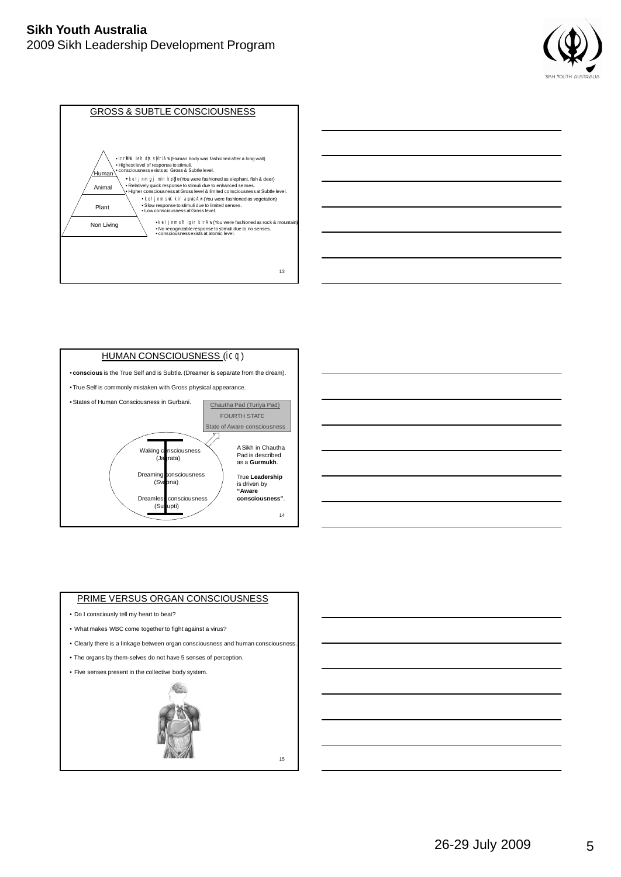









#### PRIME VERSUS ORGAN CONSCIOUSNESS

- Do I consciously tell my heart to beat?
- What makes WBC come together to fight against a virus?
- Clearly there is a linkage between organ consciousness and human consciousness.
- The organs by them-selves do not have 5 senses of perception.
- Five senses present in the collective body system.



15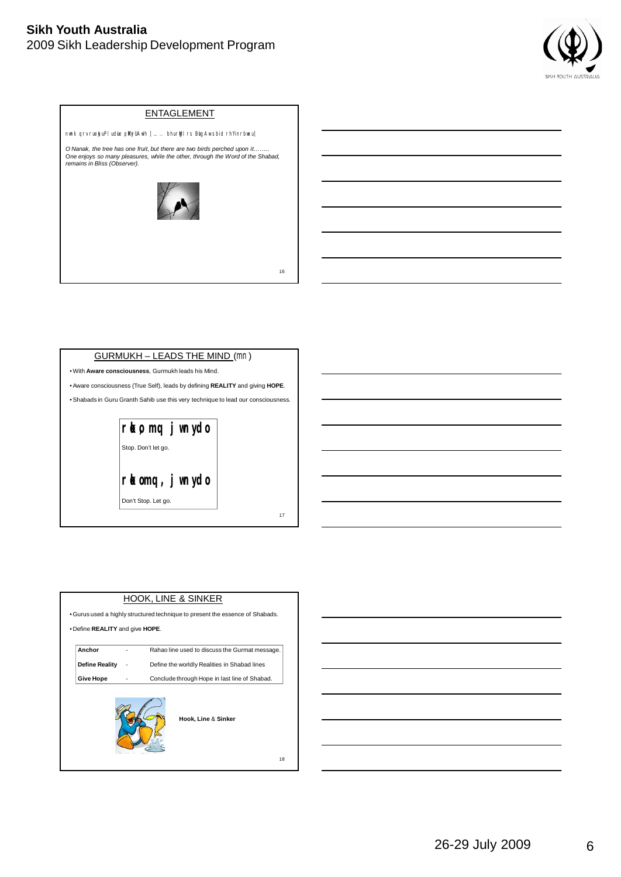









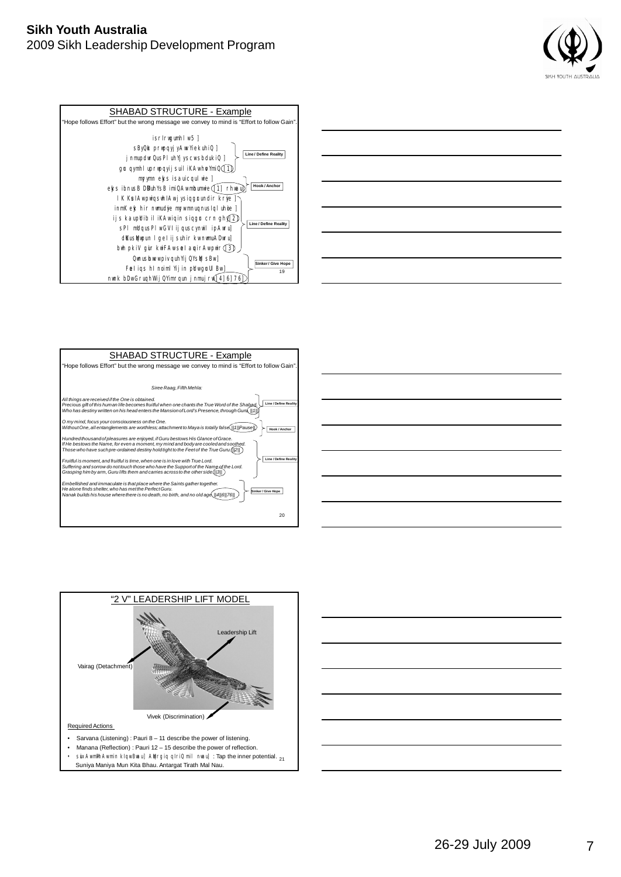















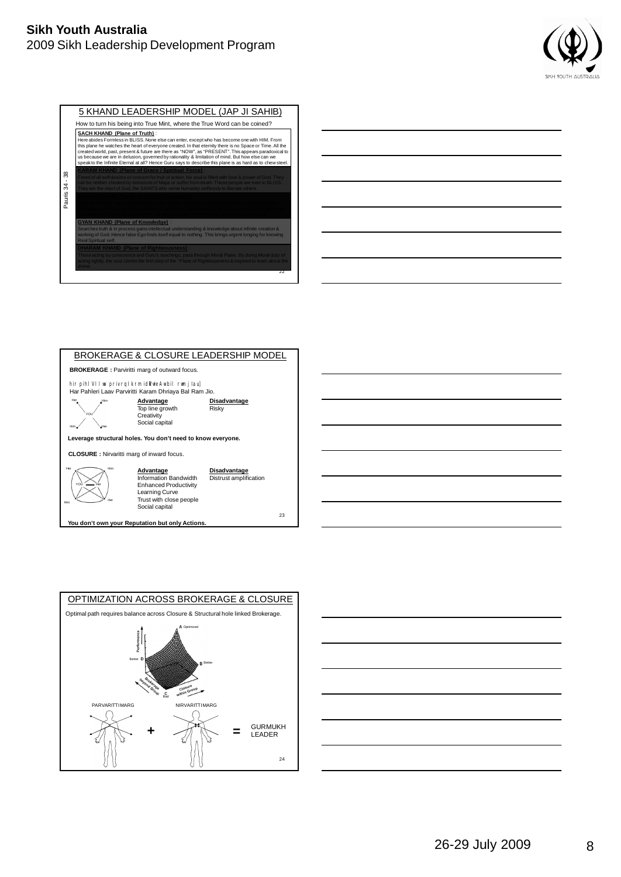